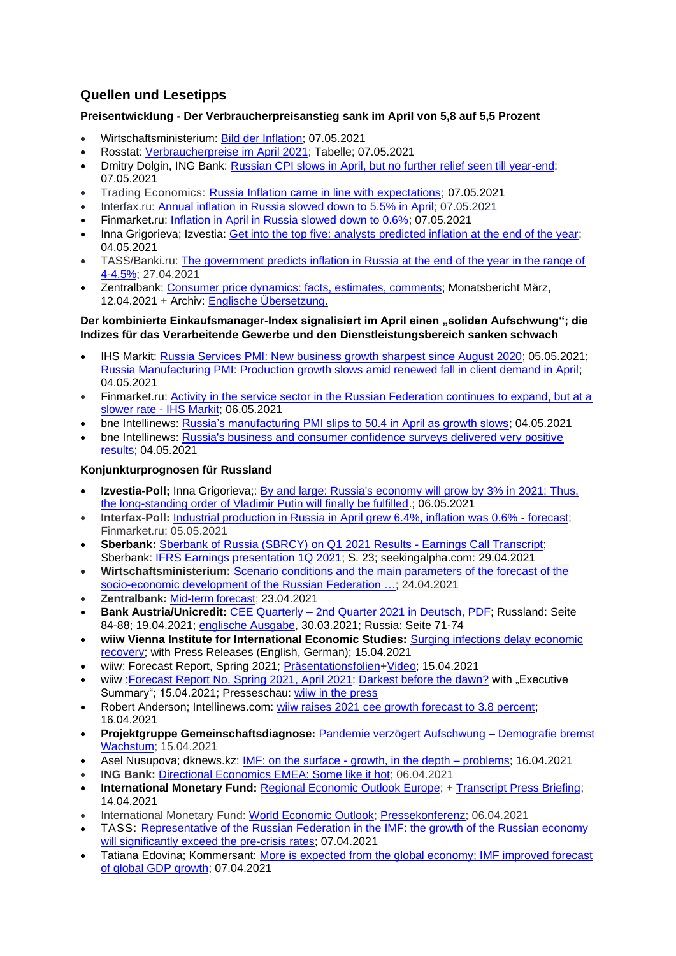# **Quellen und Lesetipps**

# **Preisentwicklung - Der Verbraucherpreisanstieg sank im April von 5,8 auf 5,5 Prozent**

- Wirtschaftsministerium: [Bild der Inflation;](https://economy.gov.ru/material/directions/makroec/ekonomicheskie_obzory/) 07.05.2021
- Rosstat: [Verbraucherpreise im April 2021;](https://gks.ru/bgd/free/B04_03/IssWWW.exe/Stg/d02/84.htm) Tabelle; 07.05.2021
- Dmitry Dolgin, ING Bank: [Russian CPI slows in April, but no further relief seen till year-end;](https://think.ing.com/snaps/russian-cpi-slows-in-april-but-no-further-relief-seen-till-year-end/) 07.05.2021
- Trading Economics: [Russia Inflation came in line with expectations;](https://tradingeconomics.com/russia/inflation-cpi) 07.05.2021
- Interfax.ru: [Annual inflation in Russia slowed down to 5.5% in April;](https://www.interfax.ru/business/765045) 07.05.2021
- Finmarket.ru: [Inflation in April in Russia slowed down to 0.6%;](http://www.finmarket.ru/main/article/5465438) 07.05.2021
- Inna Grigorieva; Izvestia: [Get into the top five: analysts predicted inflation at the end of the year;](https://iz.ru/1159219/inna-grigoreva/popast-v-piaterku-analitiki-sprognozirovali-infliatciiu-na-konetc-goda) 04.05.2021
- TASS/Banki.ru: [The government predicts inflation in Russia at the end of the year in the range of](https://www.banki.ru/news/lenta/?id=10945669)  [4-4.5%;](https://www.banki.ru/news/lenta/?id=10945669) 27.04.2021
- Zentralbank: [Consumer price dynamics: facts, estimates, comments;](http://cbr.ru/analytics/dkp/dinamic/) Monatsbericht März, 12.04.2021 + Archiv: [Englische Übersetzung.](http://cbr.ru/eng/analytics/dkp/dinamic/)

#### **Der kombinierte Einkaufsmanager-Index signalisiert im April einen "soliden Aufschwung"; die Indizes für das Verarbeitende Gewerbe und den Dienstleistungsbereich sanken schwach**

- IHS Markit: [Russia Services PMI: New business growth sharpest since August 2020;](https://www.markiteconomics.com/Public/Home/PressRelease/3656a5724fc845a1957ed885cf2681d2) 05.05.2021; [Russia Manufacturing PMI: Production growth slows amid renewed fall in client demand in April;](https://www.markiteconomics.com/Public/Home/PressRelease/64c21f67b67849549212bcef092e1a5e) 04.05.2021
- Finmarket.ru: [Activity in the service sector in the Russian Federation continues to expand, but at a](http://www.finmarket.ru/main/news/5464372)  [slower rate -](http://www.finmarket.ru/main/news/5464372) IHS Markit; 06.05.2021
- bne Intellinews: [Russia's manufacturing PMI slips to 50.4 in April as growth slows;](https://www.intellinews.com/russia-s-manufacturing-pmi-slips-to-50-4-in-april-as-growth-slows-209682/?source=russia) 04.05.2021
- bne Intellinews: [Russia's business and consumer confidence surveys delivered very positive](https://www.intellinews.com/russia-s-business-and-consumer-confidence-surveys-delivered-very-positive-results-209566/?source=russia)  [results;](https://www.intellinews.com/russia-s-business-and-consumer-confidence-surveys-delivered-very-positive-results-209566/?source=russia) 04.05.2021

# **Konjunkturprognosen für Russland**

- **Izvestia-Poll:** Inna Grigorieva:: By and large: Russia's economy will grow by 3% in 2021; Thus, [the long-standing order of Vladimir Putin will finally be fulfilled.](https://iz.ru/1158778/inna-grigoreva/po-bolshomu-schetu-ekonomika-rossii-vyrastet-na-3-v-2021-m?); 06.05.2021
- **Interfax-Poll:** [Industrial production in Russia in April grew 6.4%, inflation was 0.6% -](http://www.finmarket.ru/news/5464019) forecast; Finmarket.ru; 05.05.2021
- **Sberbank:** [Sberbank of Russia \(SBRCY\) on Q1 2021 Results -](https://seekingalpha.com/article/4422731-sberbank-of-russia-sbrcy-on-q1-2021-results-earnings-call-transcript) Earnings Call Transcript; Sberbank: [IFRS Earnings presentation 1Q 2021;](https://static.seekingalpha.com/uploads/sa_presentations/797/68797/original.pdf) S. 23; seekingalpha.com: 29.04.2021
- **Wirtschaftsministerium:** [Scenario conditions and the main parameters of the forecast of the](https://economy.gov.ru/material/directions/makroec/prognozy_socialno_ekonomicheskogo_razvitiya/scenarnye_usloviya_osnovnye_parametry_prognoza_socialno_ekonomicheskogo_razvitiya_rf_na_2022_god_i_na_planovyy_period_2023_i_2024_godov.html)  [socio-economic development of the Russian Federation …;](https://economy.gov.ru/material/directions/makroec/prognozy_socialno_ekonomicheskogo_razvitiya/scenarnye_usloviya_osnovnye_parametry_prognoza_socialno_ekonomicheskogo_razvitiya_rf_na_2022_god_i_na_planovyy_period_2023_i_2024_godov.html) 24.04.2021
- **Zentralbank:** [Mid-term forecast;](https://www.cbr.ru/Collection/Collection/File/32223/forecast_210423_e.pdf) 23.04.2021
- **Bank Austria/Unicredit:** CEE Quarterly [2nd Quarter 2021 in Deutsch,](https://www.bankaustria.at/wirtschaft-cee-quarterly.jsp) [PDF;](https://www.bankaustria.at/files/cee_quaterly_042021_de.pdf) Russland: Seite 84-88; 19.04.2021; [englische Ausgabe,](https://www.research.unicredit.eu/DocsKey/emergingmarkets_docs_2021_179703.ashx?EXT=pdf&KEY=l6KjPzSYBBGzROuioxedUNdVqq1wFeRowj6TkjKKn2ls2gVPgAyjlQ==&&T=1) 30.03.2021; Russia: Seite 71-74
- **wiiw Vienna Institute for International Economic Studies:** [Surging infections delay economic](https://wiiw.ac.at/surging-infections-delay-economic-recovery-n-496.html)  [recovery;](https://wiiw.ac.at/surging-infections-delay-economic-recovery-n-496.html) with Press Releases (English, German); 15.04.2021
- wiiw: Forecast Report, Spring 2021; [Präsentationsfolien](https://wiiw.ac.at/files/news/pk-de-n-496.pptx)[+Video;](https://www.youtube.com/watch?v=XZaAHING5Ug) 15.04.2021
- wiiw : Forecast Report [No. Spring 2021,](https://wiiw.ac.at/darkest-before-the-dawn-p-5752.html) April 2021: [Darkest before the dawn?](https://wiiw.ac.at/darkest-before-the-dawn-p-5752.html) with "Executive Summary"; 15.04.2021; Presseschau: [wiiw in the press](https://wiiw.ac.at/wiiw-in-the-press.html)
- Robert Anderson; Intellinews.com: [wiiw raises 2021 cee growth forecast to 3.8 percent;](https://www.intellinews.com/wiiw-raises-2021-cee-growth-forecast-to-3-8-208264/?source=albania) 16.04.2021
- **Projektgruppe Gemeinschaftsdiagnose:** Pandemie verzögert [Aufschwung](https://gemeinschaftsdiagnose.de/2021/04/15/pandemie-verzoegert-aufschwung-demografie-bremst-wachstum/) Demografie bremst [Wachstum;](https://gemeinschaftsdiagnose.de/2021/04/15/pandemie-verzoegert-aufschwung-demografie-bremst-wachstum/) 15.04.2021
- Asel Nusupova; dknews.kz: IMF: on the surface [growth, in the depth –](https://dknews.kz/inner-news.php?id_cat=27%20&&%20id=176402) problems; 16.04.2021
- **ING Bank:** [Directional Economics EMEA: Some like it hot;](https://think.ing.com/reports/directional-economics-emea-some-like-it-hot/) 06.04.2021
- **International Monetary Fund: [Regional Economic Outlook Europe;](https://www.imf.org/en/Publications/REO/EU/Issues/2021/04/12/regional-economic-outlook-for-europe) + [Transcript Press Briefing;](https://www.imf.org/en/News/Articles/2021/04/14/tr041421-transcript-of-april-2021-european-department-press-briefing)** 14.04.2021
- International Monetary Fund: [World Economic Outlook;](https://www.imf.org/en/Publications/WEO) [Pressekonferenz;](https://www.imf.org/en/Publications/WEO/Issues/2021/03/23/world-economic-outlook-april-2021) 06.04.2021
- TASS: [Representative of the Russian Federation in the IMF: the growth of the Russian economy](https://tass.ru/ekonomika/11084443)  [will significantly exceed the pre-crisis rates;](https://tass.ru/ekonomika/11084443) 07.04.2021
- Tatiana Edovina; Kommersant: More is expected from the global economy; IMF improved forecast [of global GDP growth;](https://www.kommersant.ru/doc/4761717?) 07.04.2021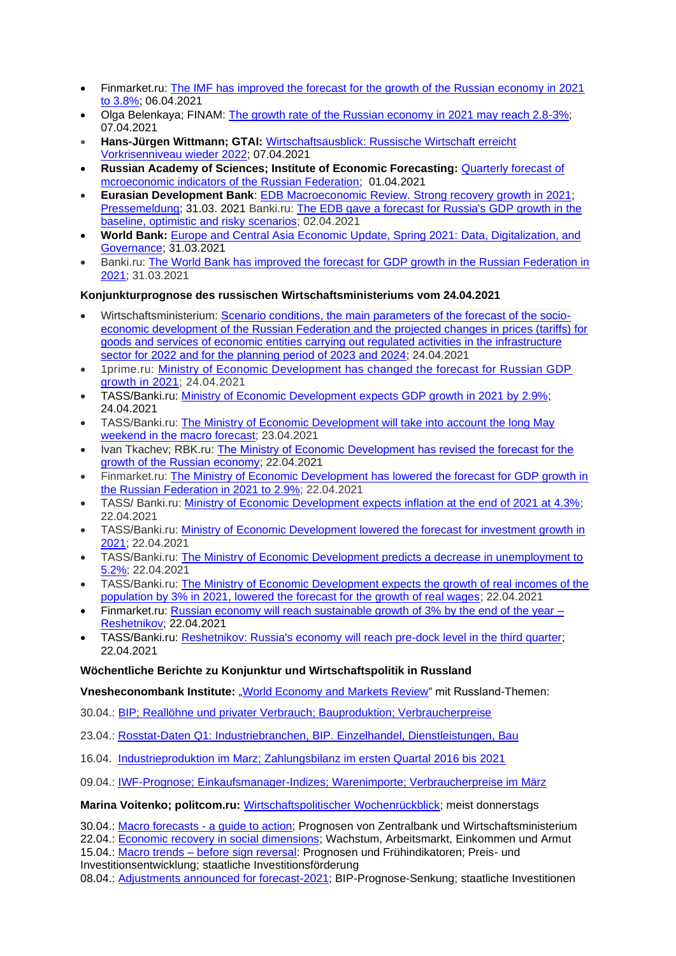- Finmarket.ru: [The IMF has improved the forecast for the growth of the Russian economy in 2021](http://www.finmarket.ru/news/5444197?)  [to 3.8%;](http://www.finmarket.ru/news/5444197?) 06.04.2021
- Olga Belenkaya; FINAM: [The growth rate of the Russian economy in 2021 may reach 2.8-3%;](https://www.finam.ru/analysis/marketnews/tempy-rosta-rossiiyskoiy-ekonomiki-v-2021-godu-mogut-sostavit-2-8-3-20210407-17150/)  07.04.2021
- **Hans-Jürgen Wittmann; GTAI:** [Wirtschaftsausblick: Russische Wirtschaft erreicht](https://www.gtai.de/gtai-de/trade/wirtschaftsumfeld/wirtschaftsausblick/russland/russische-wirtschaft-erreicht-vorkrisenniveau-wieder-2022-584942)  [Vorkrisenniveau wieder 2022;](https://www.gtai.de/gtai-de/trade/wirtschaftsumfeld/wirtschaftsausblick/russland/russische-wirtschaft-erreicht-vorkrisenniveau-wieder-2022-584942) 07.04.2021
- **Russian Academy of Sciences; Institute of Economic Forecasting:** [Quarterly forecast of](https://ecfor.ru/publication/kvartalnyj-prognoz-ekonomiki-vypusk-50/)  [mcroeconomic indicators of the Russian Federation;](https://ecfor.ru/publication/kvartalnyj-prognoz-ekonomiki-vypusk-50/) 01.04.2021
- **Eurasian Development Bank**: EDB Macroeconomic Review. [Strong recovery growth in 2021;](https://eabr.org/analytics/ceg-quarterly-reviews/makroekonomicheskiy-obzor-eabr-silnyy-vosstanovitelnyy-rost-v-2021-godu/) [Pressemeldung;](https://eabr.org/press/releases/2021-god-stanet-periodom-silnogo-vosstanovitelnogo-rosta-ekonomik-gosudarstv-uchastnikov-eabr/) 31.03. 2021 Banki.ru: [The EDB gave a forecast for Russia's GDP growth in the](https://www.banki.ru/news/lenta/?id=10944208)  [baseline, optimistic and risky scenarios;](https://www.banki.ru/news/lenta/?id=10944208) 02.04.2021
- **World Bank:** [Europe and Central Asia Economic Update, Spring 2021: Data, Digitalization, and](https://openknowledge.worldbank.org/handle/10986/35273)  [Governance;](https://openknowledge.worldbank.org/handle/10986/35273) 31.03.2021
- Banki.ru: [The World Bank has improved the forecast for GDP growth in the Russian Federation in](https://www.banki.ru/news/lenta/?id=10943977)  [2021;](https://www.banki.ru/news/lenta/?id=10943977) 31.03.2021

## **Konjunkturprognose des russischen Wirtschaftsministeriums vom 24.04.2021**

- Wirtschaftsministerium: [Scenario conditions, the main parameters of the forecast of the socio](https://economy.gov.ru/material/directions/makroec/prognozy_socialno_ekonomicheskogo_razvitiya/scenarnye_usloviya_osnovnye_parametry_prognoza_socialno_ekonomicheskogo_razvitiya_rf_na_2022_god_i_na_planovyy_period_2023_i_2024_godov.html)[economic development of the Russian Federation and the projected changes in prices \(tariffs\) for](https://economy.gov.ru/material/directions/makroec/prognozy_socialno_ekonomicheskogo_razvitiya/scenarnye_usloviya_osnovnye_parametry_prognoza_socialno_ekonomicheskogo_razvitiya_rf_na_2022_god_i_na_planovyy_period_2023_i_2024_godov.html)  goods and services of economic [entities carrying out regulated activities in the infrastructure](https://economy.gov.ru/material/directions/makroec/prognozy_socialno_ekonomicheskogo_razvitiya/scenarnye_usloviya_osnovnye_parametry_prognoza_socialno_ekonomicheskogo_razvitiya_rf_na_2022_god_i_na_planovyy_period_2023_i_2024_godov.html)  [sector for 2022 and for the planning period of 2023 and 2024;](https://economy.gov.ru/material/directions/makroec/prognozy_socialno_ekonomicheskogo_razvitiya/scenarnye_usloviya_osnovnye_parametry_prognoza_socialno_ekonomicheskogo_razvitiya_rf_na_2022_god_i_na_planovyy_period_2023_i_2024_godov.html) 24.04.2021
- 1prime.ru: [Ministry of Economic Development has changed the forecast for Russian GDP](https://1prime.ru/macroeconomics/20210424/833534497.html)  [growth in 2021;](https://1prime.ru/macroeconomics/20210424/833534497.html) 24.04.2021
- TASS/Banki.ru: Ministry [of Economic Development expects GDP growth in 2021 by 2.9%;](https://www.banki.ru/news/lenta/?id=10945529) 24.04.2021
- TASS/Banki.ru: [The Ministry of Economic Development will take into account the long May](https://www.banki.ru/news/lenta/?id=10945485)  [weekend in the macro forecast;](https://www.banki.ru/news/lenta/?id=10945485) 23.04.2021
- Ivan Tkachev; RBK.ru: [The Ministry of Economic Development has revised the forecast for the](https://www.rbc.ru/economics/22/04/2021/6081194c9a794778a67eb622?from=from_main_4)  [growth of the Russian economy;](https://www.rbc.ru/economics/22/04/2021/6081194c9a794778a67eb622?from=from_main_4) 22.04.2021
- Finmarket.ru: [The Ministry of Economic Development has lowered the forecast for GDP growth in](http://www.finmarket.ru/main/article/5455551)  [the Russian Federation in 2021 to 2.9%;](http://www.finmarket.ru/main/article/5455551) 22.04.2021
- TASS/ Banki.ru: [Ministry of Economic Development expects inflation at the end of 2021 at 4.3%;](https://www.banki.ru/news/lenta/?id=10945360)  22.04.2021
- TASS/Banki.ru: [Ministry of Economic Development lowered the forecast for investment growth in](https://www.banki.ru/news/lenta/?id=10945377)  [2021;](https://www.banki.ru/news/lenta/?id=10945377) 22.04.2021
- TASS/Banki.ru: [The Ministry of Economic Development predicts a decrease in unemployment to](https://www.banki.ru/news/lenta/?id=10945380)  [5.2%;](https://www.banki.ru/news/lenta/?id=10945380) 22.04.2021
- TASS/Banki.ru: [The Ministry of Economic Development expects the growth of real incomes of the](https://www.banki.ru/news/lenta/?id=10945365)  [population by 3% in 2021, lowered the forecast for the growth of real wages;](https://www.banki.ru/news/lenta/?id=10945365) 22.04.2021
- Finmarket.ru: [Russian economy will reach sustainable growth of 3% by the end of the year –](http://www.finmarket.ru/news/5455609) [Reshetnikov;](http://www.finmarket.ru/news/5455609) 22.04.2021
- TASS/Banki.ru: [Reshetnikov: Russia's economy will reach pre-dock level in the third quarter;](https://www.banki.ru/news/lenta/?id=10945373) 22.04.2021

#### **Wöchentliche Berichte zu Konjunktur und Wirtschaftspolitik in Russland**

**Vnesheconombank Institute:** ["World Economy and Markets Review"](http://inveb.ru/ru/articles-menu) mit Russland-Themen:

- 30.04.: [BIP; Reallöhne und privater Verbrauch; Bauproduktion; Verbraucherpreise](http://inveb.ru/ru/articles-menu/606-obzor-mirovoj-ekonomiki-i-rynkov-23-29-aprelya-2021)
- 23.04.: [Rosstat-Daten Q1: Industriebranchen, BIP. Einzelhandel, Dienstleistungen, Bau](http://inveb.ru/ru/articles-menu/601-obzor-mirovoj-ekonomiki-i-rynkov-16-23-aprelya-2021)
- 16.04. [Industrieproduktion im Marz; Zahlungsbilanz im ersten Quartal 2016 bis 2021](http://inveb.ru/attachments/article/592/%20%D0%BC%D0%B8%D1%80%D0%BE%D0%B2%D0%BE%D0%B9%20%D1%8D%D0%BA%D0%BE%D0%BD%D0%BE%D0%BC%D0%B8%D0%BA%D0%B8%20%D0%B8~.pdf)

09.04.: [IWF-Prognose; Einkaufsmanager-Indizes; Warenimporte; Verbraucherpreise im März](http://inveb.ru/ru/articles-menu/589-obzor-mirovoj-ekonomiki-i-rynkov-1-8-aprelya-2021)

**Marina Voitenko; politcom.ru:** [Wirtschaftspolitischer Wochenrückblick;](http://politcom.ru/19979.html) meist donnerstags

30.04.: [Macro forecasts -](http://politcom.ru/24201.html) a guide to action; Prognosen von Zentralbank und Wirtschaftsministerium 22.04.: [Economic recovery in social dimensions;](http://politcom.ru/24188.html) Wachstum, Arbeitsmarkt, Einkommen und Armut 15.04.: Macro trends – [before sign reversal:](http://politcom.ru/24184.html) Prognosen und Frühindikatoren; Preis- und

Investitionsentwicklung; staatliche Investitionsförderung

08.04.: [Adjustments announced for forecast-2021;](http://politcom.ru/24175.html) BIP-Prognose-Senkung; staatliche Investitionen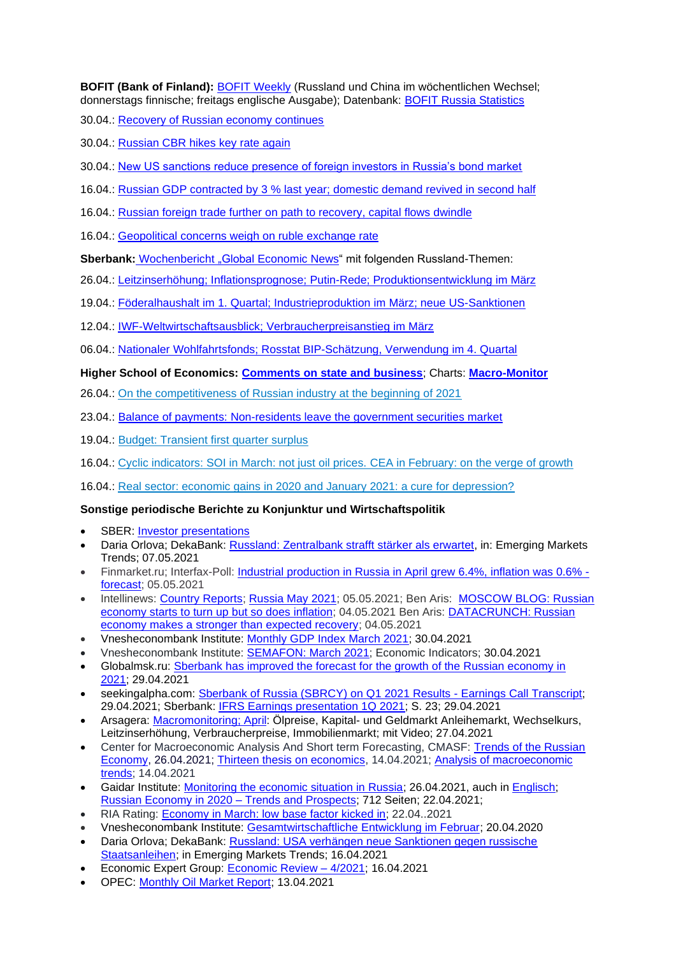**BOFIT (Bank of Finland):** [BOFIT Weekly](https://www.bofit.fi/en/monitoring/weekly/) (Russland und China im wöchentlichen Wechsel; donnerstags finnische; freitags englische Ausgabe); Datenbank: [BOFIT Russia Statistics](https://www.bofit.fi/en/monitoring/statistics/russia-statistics/)

30.04.: [Recovery of Russian economy continues](https://www.bofit.fi/en/monitoring/weekly/2021/vw202117_2/)

30.04.: [Russian CBR hikes key rate again](https://www.bofit.fi/en/monitoring/weekly/2021/vw202117_3/)

- 30.04.: [New US sanctions reduce presence of foreign investors in Russia's bond market](https://www.bofit.fi/en/monitoring/weekly/2021/vw202117_1/)
- 16.04.: Russian GDP contracted by 3 [% last year; domestic demand revived in second half](https://www.bofit.fi/en/monitoring/weekly/2021/vw202115_1/)
- 16.04.: [Russian foreign trade further on path to recovery, capital flows dwindle](https://www.bofit.fi/en/monitoring/weekly/2021/vw202115_2/)
- 16.04.: [Geopolitical concerns weigh on ruble exchange rate](https://www.bofit.fi/en/monitoring/weekly/2021/vw202115_3/)

**Sberbank:** [Wochenbericht](https://www.sberbank.com/ru/analytics/news) "Global Economic News" mit folgenden Russland-Themen:

- 26.04.: Leitzinserhöhung; Inflationsprognose; Putin-Rede; [Produktionsentwicklung](https://www.sberbank.com/common/img/uploaded/analytics/2021/april19-25.pdf) im März
- 19.04.: Föderalhaushalt im 1. Quartal; [Industrieproduktion](https://www.sberbank.com/common/img/uploaded/analytics/2021/april12-18.pdf) im März; neue US-Sanktionen
- 12.04.: [IWF-Weltwirtschaftsausblick;](https://www.sberbank.com/common/img/uploaded/analytics/2021/april5-11.pdf) Verbraucherpreisanstieg im März
- 06.04.: Nationaler [Wohlfahrtsfonds;](https://www.sberbank.com/ru/analytics/news/article?) Rosstat BIP-Schätzung, Verwendung im 4. Quartal

#### **Higher School of Economics: [Comments on state and business](https://dcenter.hse.ru/newkgb)**; Charts: **[Macro-Monitor](https://dcenter.hse.ru/macromonitor)**

- 26.04.: [On the competitiveness of Russian industry at the beginning of 2021](http://www.hse.ru/pubs/share/direct/document/464952563.pdf)
- 23.04.: [Balance of payments: Non-residents leave the government securities market](http://www.hse.ru/pubs/share/direct/document/463745286.pdf)
- 19.04.: [Budget: Transient first quarter surplus](http://www.hse.ru/pubs/share/direct/document/462894536.pdf)
- 16.04.: [Cyclic indicators: SOI in March: not just oil prices.](http://www.hse.ru/pubs/share/direct/document/461683269.pdf) CEA in February: on the verge of growth

16.04.: [Real sector: economic gains in 2020 and January 2021: a cure for depression?](http://www.hse.ru/pubs/share/direct/document/461674378.pdf)

# **Sonstige periodische Berichte zu Konjunktur und Wirtschaftspolitik**

- SBER: [Investor presentations](https://www.sberbank.com/investor-relations/reports-and-publications/investor-presentation)
- Daria Orlova; DekaBank: [Russland: Zentralbank strafft stärker als erwartet,](https://www.deka.de/site/dekade_deka-gruppe_site/get/documents/dekade/Publikationen/2021/Emerging%20Markets/20210507_Emerging_Markets_Trends.pdf) in: Emerging Markets Trends; 07.05.2021
- Finmarket.ru; Interfax-Poll: Industrial production in [Russia in April grew 6.4%, inflation was 0.6%](http://www.finmarket.ru/news/5464019)  [forecast;](http://www.finmarket.ru/news/5464019) 05.05.2021
- Intellinews: [Country Reports;](https://www.intellinews.com/reports/) [Russia May 2021;](https://www.intellinews.com/reports/russia-country-report-apr21-april-2021-71516/) 05.05.2021; Ben Aris: [MOSCOW BLOG: Russian](https://intellinews.com/moscow-blog-russian-economy-starts-to-turn-up-but-so-does-inflation-209564/)  [economy starts to turn up but so does inflation;](https://intellinews.com/moscow-blog-russian-economy-starts-to-turn-up-but-so-does-inflation-209564/) 04.05.2021 Ben Aris: [DATACRUNCH: Russian](https://www.intellinews.com/datacrunch-russian-economy-makes-a-stronger-than-expected-recovery-209561/?source=russia)  [economy makes a stronger than expected recovery;](https://www.intellinews.com/datacrunch-russian-economy-makes-a-stronger-than-expected-recovery-209561/?source=russia) 04.05.2021
- Vnesheconombank Institute: [Monthly GDP Index March 2021;](http://inveb.ru/ru/products/index-gdp) 30.04.2021
- Vnesheconombank Institute: [SEMAFON: March 2021;](http://inveb.ru/ru/products/product-03) Economic Indicators; 30.04.2021
- Globalmsk.ru: [Sberbank has improved the forecast for the growth of the Russian economy in](https://globalmsk.ru/news/id/51041)  [2021;](https://globalmsk.ru/news/id/51041) 29.04.2021
- seekingalpha.com: [Sberbank of Russia \(SBRCY\) on Q1 2021 Results -](https://seekingalpha.com/article/4422731-sberbank-of-russia-sbrcy-on-q1-2021-results-earnings-call-transcript) Earnings Call Transcript; 29.04.2021; Sberbank: [IFRS Earnings presentation 1Q 2021;](https://static.seekingalpha.com/uploads/sa_presentations/797/68797/original.pdf) S. 23; 29.04.2021
- Arsagera: [Macromonitoring;](https://bf.arsagera.ru/makropokazateli/makromonitoring_250_ot_27042021/) April: Ölpreise, Kapital- und Geldmarkt Anleihemarkt, Wechselkurs, Leitzinserhöhung, Verbraucherpreise, Immobilienmarkt; mit Video; 27.04.2021
- Center for Macroeconomic Analysis And Short term Forecasting, CMASF: Trends of the Russian [Economy,](http://www.forecast.ru/default.aspx) 26.04.2021; [Thirteen thesis on economics,](http://www.forecast.ru/default.aspx) 14.04.2021; [Analysis of macroeconomic](http://www.forecast.ru/default.aspx)  [trends;](http://www.forecast.ru/default.aspx) 14.04.2021
- Gaidar Institute: [Monitoring the economic situation in Russia;](https://www.iep.ru/ru/monitoring) 26.04.2021, auch in [Englisch;](http://www.iep.ru/en/publications/category/1417.html) [Russian Economy in 2020 –](https://www.iep.ru/ru/publikatcii/publication/rossiyskaya-ekonomika-v-2020-godu-tendentsii-i-perspektivy-vypusk-42.html) Trends and Prospects; 712 Seiten; 22.04.2021;
- RIA Rating: [Economy in March: low base factor kicked in;](https://riarating.ru/macroeconomic_study/20210422/630199295.html) 22.04..2021
- Vnesheconombank Institute: [Gesamtwirtschaftliche Entwicklung im Februar;](http://inveb.ru/ru/articles-menu/595-dinamika-osnovnykh-makropokazatelej-v-fevrale-2021) 20.04.2020
- Daria Orlova; DekaBank: [Russland: USA verhängen neue Sanktionen gegen russische](https://www.deka.de/site/dekade_deka-gruppe_site/get/documents/dekade/Publikationen/2021/Emerging%20Markets/20210416_Emerging_Markets_Trends.pdf)  [Staatsanleihen;](https://www.deka.de/site/dekade_deka-gruppe_site/get/documents/dekade/Publikationen/2021/Emerging%20Markets/20210416_Emerging_Markets_Trends.pdf) in Emerging Markets Trends; 16.04.2021
- Economic Expert Group: [Economic Review –](http://www.eeg.ru/pages/186) 4/2021; 16.04.2021
- OPEC: [Monthly Oil Market Report;](https://www.opec.org/opec_web/en/publications/338.htm) 13.04.2021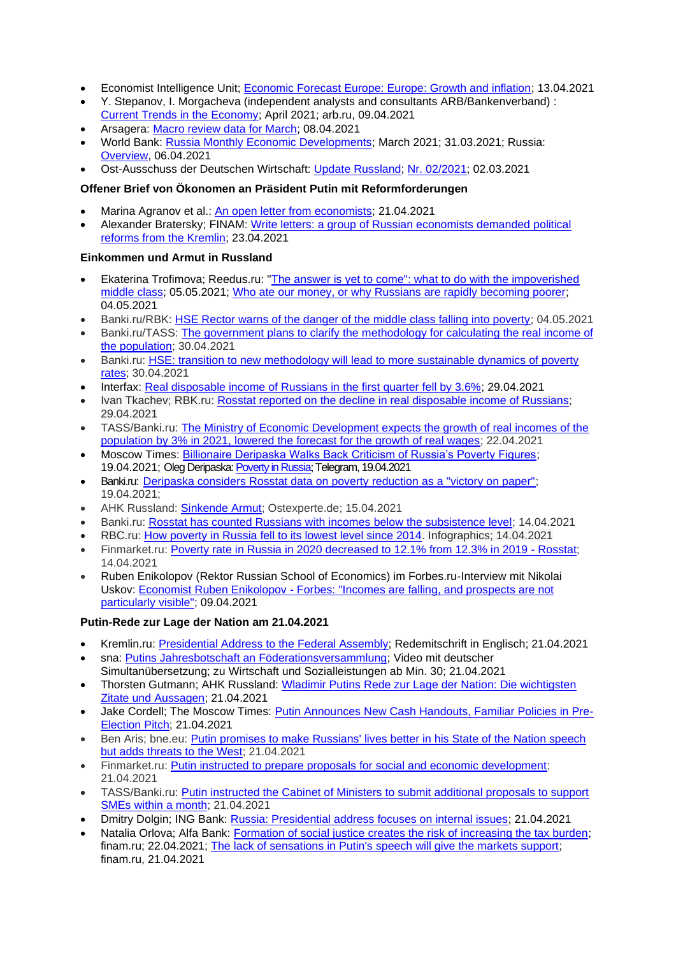- Economist Intelligence Unit; [Economic Forecast Europe: Europe: Growth and inflation;](http://gfs.eiu.com/Archive.aspx?archiveType=Europe) 13.04.2021
- Y. Stepanov, I. Morgacheva (independent analysts and consultants ARB/Bankenverband) : [Current Trends in the Economy;](https://arb.ru/banks/analitycs/tekushchie_tendentsii_v_ekonomike_aprel_2021-10464647/) April 2021; arb.ru, 09.04.2021
- Arsagera: [Macro review data for March;](https://bf.arsagera.ru/makropokazateli/makroobzor_dannye_za_mart_2021/) 08.04.2021
- World Bank: [Russia Monthly Economic Developments;](https://www.worldbank.org/en/country/russia/brief/monthly-economic-developments) March 2021; 31.03.2021; Russia: [Overview,](https://www.worldbank.org/en/country/russia/overview#3) 06.04.2021
- Ost-Ausschuss der Deutschen Wirtschaft: Update [Russland;](https://www.ost-ausschuss.de/de/oa-updates-zu-regionen) Nr. [02/2021;](https://www.ost-ausschuss.de/sites/default/files/paragraphs/pdf/2021-03/02-2021_OA_Update_Russland.pdf) 02.03.2021

# **Offener Brief von Ökonomen an Präsident Putin mit Reformforderungen**

- Marina Agranov et al.: [An open letter from economists;](https://sites.google.com/view/ruseconopenletter/) 21.04.2021
- Alexander Bratersky; FINAM: [Write letters: a group of Russian economists demanded political](https://www.finam.ru/analysis/newsitem/pishite-pisma-gruppa-rossiiyskix-ekonomistov-potrebovala-u-kremlya-politicheskix-reform-20210423-194432/)  [reforms from the Kremlin;](https://www.finam.ru/analysis/newsitem/pishite-pisma-gruppa-rossiiyskix-ekonomistov-potrebovala-u-kremlya-politicheskix-reform-20210423-194432/) 23.04.2021

#### **Einkommen und Armut in Russland**

- Ekaterina Trofimova; Reedus.ru: "The answer is yet to come": what to do with the impoverished [middle class;](https://www.ridus.ru/news/353506) 05.05.2021; [Who ate our money, or why Russians are rapidly becoming poorer;](https://www.ridus.ru/news/353339) 04.05.2021
- Banki.ru/RBK: [HSE Rector warns of the danger of the middle class falling into poverty;](https://www.banki.ru/news/lenta/?id=10945941) 04.05.2021
- Banki.ru/TASS: [The government plans to clarify the methodology for calculating the real income of](https://www.banki.ru/news/lenta/?id=10945882)  [the population;](https://www.banki.ru/news/lenta/?id=10945882) 30.04.2021
- Banki.ru: HSE: transition to new methodology will lead to more sustainable dynamics of poverty [rates;](https://www.banki.ru/news/lenta/?id=10945842) 30.04.2021
- Interfax: [Real disposable income of Russians in the first quarter fell by 3.6%;](https://www.interfax.ru/business/763989) 29.04.2021
- Ivan Tkachev; RBK.ru: [Rosstat reported on the decline in real disposable income of Russians;](https://www.rbc.ru/economics/29/04/2021/608abee49a79476629102b9b) 29.04.2021
- TASS/Banki.ru: [The Ministry of Economic Development expects the growth of real incomes of the](https://www.banki.ru/news/lenta/?id=10945365)  [population by 3% in 2021, lowered the forecast for the growth of real wages;](https://www.banki.ru/news/lenta/?id=10945365) 22.04.2021
- Moscow Times: [Billionaire Deripaska Walks Back Criticism of Russia's Poverty Figures;](https://www.themoscowtimes.com/2021/04/19/billionaire-deripaska-walks-back-criticism-of-russias-poverty-figures-a73659) 19.04.2021; Oleg Deripaska[: Poverty in Russia;](https://t.me/olegderipaska/240) Telegram, 19.04.2021
- Banki.ru: [Deripaska considers Rosstat data on poverty reduction as a "victory on paper";](https://www.banki.ru/news/lenta/?id=10945135) 19.04.2021;
- AHK Russland: [Sinkende Armut;](https://ostexperte.de/sinkende-armut/) Ostexperte.de; 15.04.2021
- Banki.ru: [Rosstat has counted Russians with incomes below the subsistence level;](https://www.banki.ru/news/lenta/?id=10944895) 14.04.2021
- RBC.ru: [How poverty in Russia fell to its lowest level since 2014.](https://www.rbc.ru/economics/14/04/2021/60774d779a794796ccb52627) Infographics; 14.04.2021
- Finmarket.ru: [Poverty rate in Russia in 2020 decreased to 12.1% from 12.3% in 2019 -](http://www.finmarket.ru/news/5450121?utm_source=yxnews&utm_medium=desktop&utm_referrer=https%3A%2F%2Fyandex.ru%2Fnews%2Fstory%2FRosstat_otmetil_snizhenie_urovnya_bednosti_vRossii--6cc44448e5a4717b7ba4f790fb0780b7) Rosstat; 14.04.2021
- Ruben Enikolopov (Rektor Russian School of Economics) im Forbes.ru-Interview mit Nikolai Uskov: Economist Ruben Enikolopov - [Forbes: "Incomes are falling, and prospects are not](https://www.forbes.ru/finansy-i-investicii/425807-ekonomist-ruben-enikolopov-forbes-dohody-padayut-i-perspektiv-osobo-ne)  [particularly visible";](https://www.forbes.ru/finansy-i-investicii/425807-ekonomist-ruben-enikolopov-forbes-dohody-padayut-i-perspektiv-osobo-ne) 09.04.2021

#### **Putin-Rede zur Lage der Nation am 21.04.2021**

- Kremlin.ru: [Presidential Address to](http://en.kremlin.ru/events/president/news/65418) the Federal Assembly; Redemitschrift in Englisch; 21.04.2021
- sna: [Putins Jahresbotschaft an Föderationsversammlung;](https://snanews.de/20210421/putins-jahresbotschaft-foederationsversammlung-1794489.html) Video mit deutscher Simultanübersetzung; zu Wirtschaft und Sozialleistungen ab Min. 30; 21.04.2021
- Thorsten Gutmann; AHK Russland: [Wladimir Putins Rede zur Lage der Nation: Die wichtigsten](https://russland.ahk.de/infothek/news/detail/wladimir-putins-rede-zur-lage-der-nation-die-wichtigsten-zitate-und-aussagen)  [Zitate und Aussagen;](https://russland.ahk.de/infothek/news/detail/wladimir-putins-rede-zur-lage-der-nation-die-wichtigsten-zitate-und-aussagen) 21.04.2021
- Jake Cordell; The Moscow Times: [Putin Announces New Cash Handouts, Familiar Policies in Pre-](https://www.themoscowtimes.com/2021/04/21/putin-announces-new-cash-handouts-familiar-policies-in-pre-election-pitch-a73688)[Election Pitch;](https://www.themoscowtimes.com/2021/04/21/putin-announces-new-cash-handouts-familiar-policies-in-pre-election-pitch-a73688) 21.04.2021
- Ben Aris; bne.eu: [Putin promises to make Russians' lives better in his State of the Nation speech](https://bne.eu/putin-promises-to-make-russians-lives-better-in-his-state-of-the-nation-speech-but-adds-threats-to-the-west-208696/)  [but adds threats to the West;](https://bne.eu/putin-promises-to-make-russians-lives-better-in-his-state-of-the-nation-speech-but-adds-threats-to-the-west-208696/) 21.04.2021
- Finmarket.ru: [Putin instructed to prepare proposals for social and economic development;](http://www.finmarket.ru/main/article/5454907) 21.04.2021
- TASS/Banki.ru: [Putin instructed the Cabinet of Ministers to submit additional proposals to support](https://www.banki.ru/news/lenta/?id=10945313)  [SMEs within a month;](https://www.banki.ru/news/lenta/?id=10945313) 21.04.2021
- Dmitry Dolgin; ING Bank: [Russia: Presidential address focuses on internal issues;](https://think.ing.com/snaps/russia-presidential-address-focuses-on-internal-issues/) 21.04.2021
- Natalia Orlova; Alfa Bank: [Formation of social justice creates the risk of increasing the tax burden;](https://www.finam.ru/analysis/marketnews/formirovanie-socialnoiy-spravedlivoiy-sozdaet-risk-povysheniya-nalogovoiy-nagruzki-20210422-11450/) finam.ru; 22.04.2021; [The lack of sensations in Putin's speech will give the markets support;](https://www.finam.ru/analysis/marketnews/otsutstvie-sensaciiy-v-vystuplenii-putina-dast-rynkam-podderzhku-20210421-16500/) finam.ru, 21.04.2021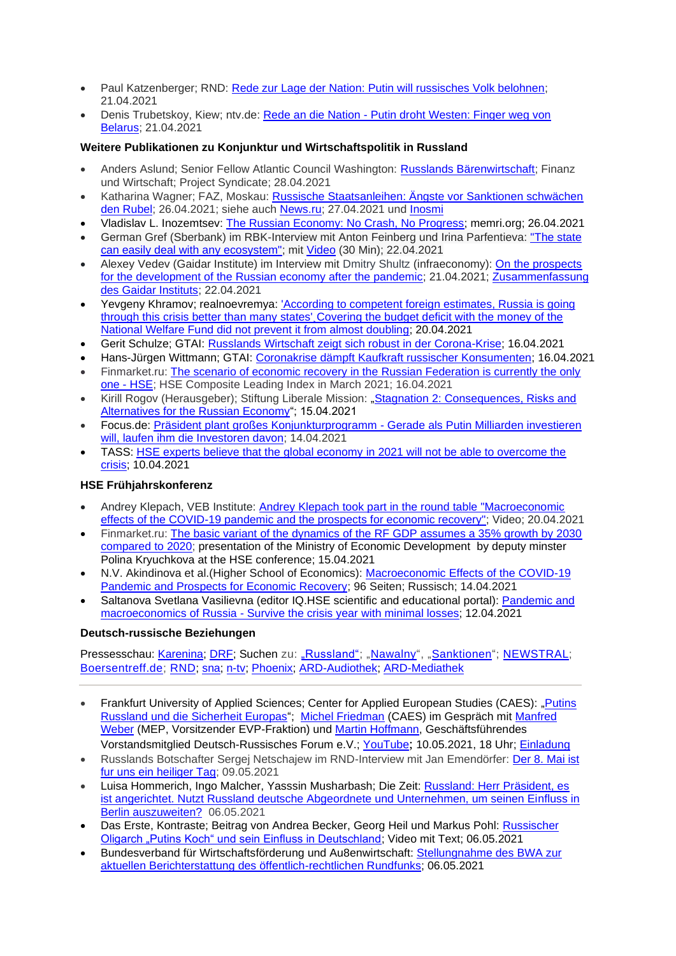- Paul Katzenberger; RND: [Rede zur Lage der Nation: Putin will russisches Volk belohnen;](https://www.rnd.de/politik/rede-zur-lage-der-nation-putin-will-russisches-volk-belohnen-YM4Z2Z4EWNEQTMWSBEIOJ74NKY.html) 21.04.2021
- Denis Trubetskoy, Kiew; ntv.de: Rede an die Nation [Putin droht Westen: Finger weg von](https://www.n-tv.de/politik/Putin-droht-Westen-Finger-weg-von-Belarus-article22505467.html)  [Belarus;](https://www.n-tv.de/politik/Putin-droht-Westen-Finger-weg-von-Belarus-article22505467.html) 21.04.2021

#### **Weitere Publikationen zu Konjunktur und Wirtschaftspolitik in Russland**

- Anders Aslund; Senior Fellow Atlantic Council Washington: [Russlands Bärenwirtschaft;](https://www.fuw.ch/article/russlands-baerenwirtschaft/) Finanz und Wirtschaft; Project Syndicate; 28.04.2021
- Katharina Wagner; FAZ, Moskau: [Russische Staatsanleihen: Ängste vor Sanktionen schwächen](https://www.faz.net/aktuell/finanzen/russland-wie-die-angst-vor-sanktionen-den-rubel-schwaecht-17307149.html)  [den Rubel;](https://www.faz.net/aktuell/finanzen/russland-wie-die-angst-vor-sanktionen-den-rubel-schwaecht-17307149.html) 26.04.2021; siehe auch [News.ru;](https://news.ru/economics/v-germanii-nazvali-prichinu-upadka-rossijskoj-ekonomiki/?utm_source=yxnews&utm_medium=desktop) 27.04.2021 und [Inosmi](https://inosmi.ru/economic/20210427/249642102.html)
- Vladislav L. Inozemtsev: [The Russian Economy: No Crash, No Progress;](https://www.memri.org/reports/russian-economy-no-crash-no-progress) memri.org; 26.04.2021
- German Gref (Sberbank) im RBK-Interview mit Anton Feinberg und Irina Parfentieva: ["The state](https://www.rbc.ru/business/22/04/2021/6078c35c9a79470cc01eb1b4)  [can easily deal with any ecosystem";](https://www.rbc.ru/business/22/04/2021/6078c35c9a79470cc01eb1b4) mit [Video](https://www.youtube.com/watch?v=n-se5wZzi_Q) (30 Min); 22.04.2021
- Alexey Vedev (Gaidar Institute) im Interview mit Dmitry Shultz (infraeconomy): [On the prospects](https://infraeconomy.com/intervyu-s-alekseem-vedevym-2)  [for the development of the Russian economy after the pandemic;](https://infraeconomy.com/intervyu-s-alekseem-vedevym-2) 21.04.2021; [Zusammenfassung](https://www.iep.ru/ru/kommentarii/aleksey-vedev-o-perspektivakh-razvitiya-rossiyskoy-ekonomiki-posle-pandemii.html)  [des Gaidar Instituts;](https://www.iep.ru/ru/kommentarii/aleksey-vedev-o-perspektivakh-razvitiya-rossiyskoy-ekonomiki-posle-pandemii.html) 22.04.2021
- Yevgeny Khramov; realnoevremya: 'According to competent foreign estimates, Russia is going [through this crisis better than many states'¸Covering the budget deficit with the money of the](https://realnoevremya.com/articles/5444-russia-is-going-through-this-crisis-better-than-many-states)  [National Welfare Fund did not prevent it from almost doubling;](https://realnoevremya.com/articles/5444-russia-is-going-through-this-crisis-better-than-many-states) 20.04.2021
- Gerit Schulze; GTAI: [Russlands Wirtschaft zeigt sich robust in der Corona-Krise;](https://www.gtai.de/gtai-de/trade/specials/special/russland/russlands-wirtschaft-zeigt-sich-robust-in-der-coronakrise--242418) 16.04.2021
- Hans-Jürgen Wittmann; GTAI: [Coronakrise dämpft Kaufkraft russischer Konsumenten;](https://www.gtai.de/gtai-de/trade/wirtschaftsumfeld/kaufkraft-und-konsum/russland/coronakrise-daempft-kaufkraft-russischer-konsumenten-628376) 16.04.2021
- Finmarket.ru: [The scenario of economic recovery in the Russian Federation is currently the only](http://www.finmarket.ru/main/article/5452003)  one - [HSE;](http://www.finmarket.ru/main/article/5452003) HSE Composite Leading Index in March 2021; 16.04.2021
- Kirill Rogov (Herausgeber); Stiftung Liberale Mission: "Stagnation 2: Consequences, Risks and [Alternatives for the Russian Economy"](https://liberal.ru/ekspertiza/zastoj-2-posledstviya-riski-i-alternativy-dlya-rossijskoj-ekonomiki); 15.04.2021
- Focus.de: [Präsident plant großes Konjunkturprogramm -](https://www.focus.de/finanzen/boerse/konjunktur/praesident-plant-grosses-konjunkturprogramm-gerade-als-putin-milliarden-investieren-will-laufen-ihm-die-investoren-davon_id_13186267.html) Gerade als Putin Milliarden investieren [will, laufen ihm die Investoren davon;](https://www.focus.de/finanzen/boerse/konjunktur/praesident-plant-grosses-konjunkturprogramm-gerade-als-putin-milliarden-investieren-will-laufen-ihm-die-investoren-davon_id_13186267.html) 14.04.2021
- TASS: HSE experts believe that the global economy in 2021 will not be able to overcome the [crisis;](https://tass.ru/ekonomika/11113381) 10.04.2021

# **HSE Frühjahrskonferenz**

- Andrey Klepach, VEB Institute: [Andrey Klepach took part in the round table "Macroeconomic](http://inveb.ru/ru/news/596-andrej-klepach-prinyal-uchastie-v-kruglom-stole-makroekonomicheskie-effekty-pandemii-covid-19-i-perspektivy-vosstanovleniya-ekonomiki)  [effects of the COVID-19 pandemic and the prospects for economic recovery";](http://inveb.ru/ru/news/596-andrej-klepach-prinyal-uchastie-v-kruglom-stole-makroekonomicheskie-effekty-pandemii-covid-19-i-perspektivy-vosstanovleniya-ekonomiki) Video; 20.04.2021
- Finmarket.ru: [The basic variant of the dynamics of the RF GDP assumes a 35% growth by 2030](http://www.finmarket.ru/news/5450864)  [compared to 2020;](http://www.finmarket.ru/news/5450864) presentation of the Ministry of Economic Development by deputy minster Polina Kryuchkova at the HSE conference; 15.04.2021
- N.V. Akindinova et al.(Higher School of Economics): [Macroeconomic Effects of the COVID-19](https://conf.hse.ru/mirror/pubs/share/460914594.pdf)  [Pandemic and Prospects for Economic Recovery;](https://conf.hse.ru/mirror/pubs/share/460914594.pdf) 96 Seiten; Russisch; 14.04.2021
- Saltanova Svetlana Vasilievna (editor IQ.HSE scientific and educational portal): [Pandemic](https://iq.hse.ru/news/459867364.html) and [macroeconomics](https://iq.hse.ru/news/459867364.html) of Russia - Survive the crisis year with minimal losses; 12.04.2021

#### **Deutsch-russische Beziehungen**

Pressesschau: [Karenina;](https://www.karenina.de/category/news/presseschau/) [DRF;](https://www.deutsch-russisches-forum.de/category/pressespiegel) Suchen zu: ["Russland";](https://www.weltflimmern.de/russland) ["Nawalny"](https://www.weltflimmern.de/nawalny), ["Sanktionen"](https://www.weltflimmern.de/sanktionen); [NEWSTRAL;](https://newstral.com/de/search/articles?utf8=%E2%9C%93&q=Russland) [Boersentreff.de;](https://www.boersentreff.de/top_news-russland.htm) [RND;](https://www.rnd.de/themen/russland/) [sna;](https://snanews.de/location_russland/) [n-tv;](https://www.n-tv.de/thema/russland) [Phoenix;](https://www.phoenix.de/russland--das-phoenix-jahresthema-2021-a-2060305.html) [ARD-Audiothek;](https://www.ardaudiothek.de/suche?q=Putin%202021) [ARD-Mediathek](https://www.ardmediathek.de/suche/Putin/)

- Frankfurt University of Applied Sciences; Center for Applied European Studies (CAES): "Putins [Russland und die Sicherheit Europas"](https://www.frankfurt-university.de/de/newsmodule/caes/?tx_news_pi1%5Bnews%5D=5986&tx_news_pi1%5Bcontroller%5D=News&tx_news_pi1%5Baction%5D=detail&cHash=73a9f5cefda84d71b97d1f835780265c); [Michel Friedman](https://de.wikipedia.org/wiki/Michel_Friedman#Friedman-Aff%C3%A4re) (CAES) im Gespräch mit [Manfred](https://de.wikipedia.org/wiki/Manfred_Weber_(Politiker))  [Weber](https://de.wikipedia.org/wiki/Manfred_Weber_(Politiker)) (MEP, Vorsitzender EVP-Fraktion) und [Martin Hoffmann,](https://petersburger-dialog.de/personen/martin-hoffmann/) Geschäftsführendes Vorstandsmitglied Deutsch-Russisches Forum e.V.; [YouTube](https://youtu.be/Ayu8_cStNwA); 10.05.2021, 18 Uhr; [Einladung](https://www.frankfurt-university.de/fileadmin/standard/Forschung/CAES/Think_Europe/Russland/Putins_Russland_und_die_Sicherheit_Europas.pdf)
- Russlands Botschafter Sergej Netschajew im RND-Interview mit Jan Emendörfer: [Der 8. Mai ist](https://www.rnd.de/politik/russlands-botschafter-in-berlin-der-8-mai-ist-fuer-uns-ein-heiliger-tag-ALAERCM7NBGUDFMGD6R5P2GHZM.html)  [fur uns ein heiliger Tag;](https://www.rnd.de/politik/russlands-botschafter-in-berlin-der-8-mai-ist-fuer-uns-ein-heiliger-tag-ALAERCM7NBGUDFMGD6R5P2GHZM.html) 09.05.2021
- Luisa Hommerich, Ingo Malcher, Yasssin Musharbash; Die Zeit: Russland: [Herr Präsident, es](https://www.zeit.de/2021/19/russland-einflussnahme-deutschland-abgeordnete-unternehmen-ostsee-konferenz-berlin/komplettansicht)  [ist angerichtet. Nutzt Russland deutsche Abgeordnete und Unternehmen, um seinen Einfluss in](https://www.zeit.de/2021/19/russland-einflussnahme-deutschland-abgeordnete-unternehmen-ostsee-konferenz-berlin/komplettansicht)  [Berlin auszuweiten?](https://www.zeit.de/2021/19/russland-einflussnahme-deutschland-abgeordnete-unternehmen-ostsee-konferenz-berlin/komplettansicht) 06.05.2021
- Das Erste, Kontraste; Beitrag von Andrea Becker, Georg Heil und Markus Pohl: [Russischer](https://www.rbb-online.de/kontraste/archiv/kontraste-vom-06-05-2021/putins-koch-und-sein-einfluss-in-deutschland.html)  [Oligarch "Putins Koch" und sein Einfluss in Deutschland;](https://www.rbb-online.de/kontraste/archiv/kontraste-vom-06-05-2021/putins-koch-und-sein-einfluss-in-deutschland.html) Video mit Text; 06.05.2021
- Bundesverband für Wirtschaftsförderung und Au8enwirtschaft: [Stellungnahme des BWA zur](https://www.bwa-deutschland.com/stellungnahme-des-bwa-zur-aktuellen-berichterstattung-des-oeffentlich-rechtlichen-rundfunks)  [aktuellen Berichterstattung des öffentlich-rechtlichen Rundfunks;](https://www.bwa-deutschland.com/stellungnahme-des-bwa-zur-aktuellen-berichterstattung-des-oeffentlich-rechtlichen-rundfunks) 06.05.2021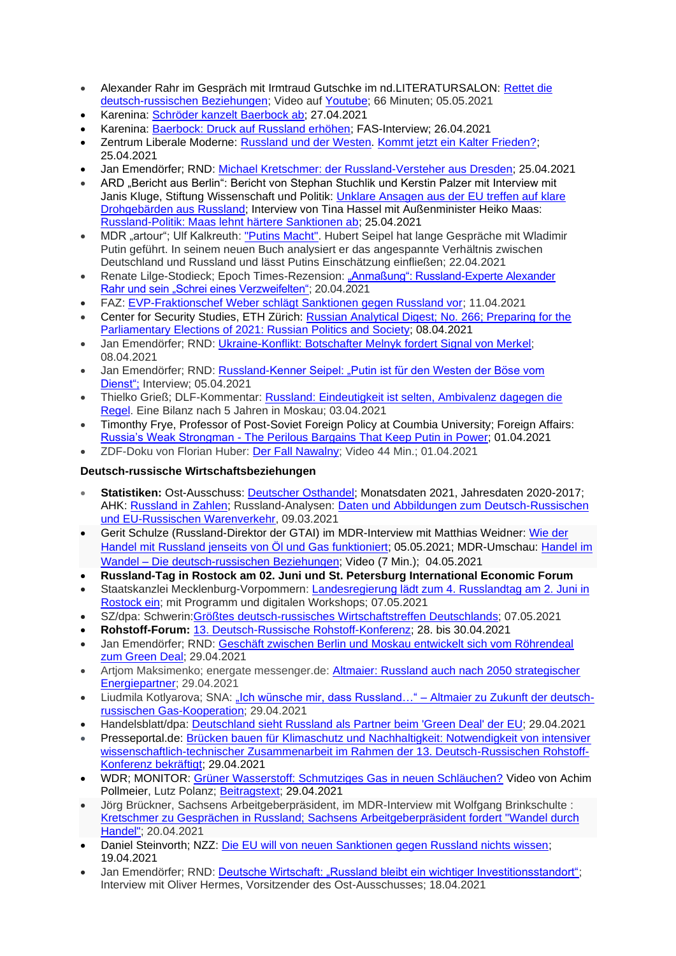- Alexander Rahr im Gespräch mit Irmtraud Gutschke im nd.LITERATURSALON: [Rettet die](https://www.neues-deutschland.de/termine/88481.html)  [deutsch-russischen Beziehungen;](https://www.neues-deutschland.de/termine/88481.html) Video auf [Youtube;](https://www.youtube.com/watch?v=mUC5rZlHuvc) 66 Minuten; 05.05.2021
- Karenina: [Schröder kanzelt Baerbock ab;](https://www.karenina.de/service/presseschau/schroeder-kanzelt-baerbock-ab/) 27.04.2021
- Karenina: [Baerbock: Druck auf Russland erhöhen;](https://www.karenina.de/news/politik/baerbock-druck-auf-russland-erhoehen/) FAS-Interview; 26.04.2021
- Zentrum Liberale Moderne: [Russland und der Westen.](https://russlandverstehen.eu/russland-und-der-westen/) [Kommt jetzt ein Kalter Frieden?;](https://russlandverstehen.eu/russlandkonferenz-2021-diskussion/) 25.04.2021
- Jan Emendörfer; RND: [Michael Kretschmer: der Russland-Versteher aus Dresden;](https://www.rnd.de/politik/michael-kretschmer-der-russland-versteher-aus-dresden-VQPYSGTHBFCRVFQR5GIGWMERIY.html) 25.04.2021
- ARD "Bericht aus Berlin": Bericht von Stephan Stuchlik und Kerstin Palzer mit Interview mit Janis Kluge, Stiftung Wissenschaft und Politik: [Unklare Ansagen aus der EU treffen auf klare](https://www.tagesschau.de/multimedia/video/video-854833.html)  [Drohgebärden aus Russland;](https://www.tagesschau.de/multimedia/video/video-854833.html) Interview von Tina Hassel mit Außenminister Heiko Maas: [Russland-Politik: Maas lehnt härtere Sanktionen ab;](Russland-Politik:%20Maas%20lehnt%20härtere%20Sanktionen%20ab) 25.04.2021
- MDR "artour"; Ulf Kalkreuth: ["Putins Macht".](https://www.ardmediathek.de/video/artour/putins-macht-hubert-seipel-und-seine-lesart-des-russischen-praesidenten/mdr-fernsehen/Y3JpZDovL21kci5kZS9iZWl0cmFnL2Ntcy9mNDdlZWJhYS02N2UyLTRiN2QtYWZmYS1kOWI0NjgwZWM4MjU/) Hubert Seipel hat lange Gespräche mit Wladimir Putin geführt. In seinem neuen Buch analysiert er das angespannte Verhältnis zwischen Deutschland und Russland und lässt Putins Einschätzung einfließen; 22.04.2021
- Renate Lilge-Stodieck; Epoch Times-Rezension: ["Anmaßung": Russland-Experte Alexander](https://www.epochtimes.de/feuilleton/buecher/anmassung-russland-experte-alexander-rahr-und-sein-schrei-eines-verzweifelten-a3495321.html)  [Rahr und sein "Schrei eines Verzweifelten";](https://www.epochtimes.de/feuilleton/buecher/anmassung-russland-experte-alexander-rahr-und-sein-schrei-eines-verzweifelten-a3495321.html) 20.04.2021
- FAZ: [EVP-Fraktionschef Weber schlägt Sanktionen gegen Russland vor;](https://www.faz.net/aktuell/politik/ausland/evp-fraktionschef-weber-schlaegt-sanktionen-gegen-russland-vor-17287446.html) 11.04.2021
- Center for Security Studies, ETH Zürich: [Russian Analytical Digest; No. 266; Preparing for the](https://css.ethz.ch/content/dam/ethz/special-interest/gess/cis/center-for-securities-studies/pdfs/RAD266.pdf)  [Parliamentary Elections of 2021: Russian Politics and Society;](https://css.ethz.ch/content/dam/ethz/special-interest/gess/cis/center-for-securities-studies/pdfs/RAD266.pdf) 08.04.2021
- Jan Emendörfer: RND: Ukraine-Konflikt: Botschafter Melnyk fordert Signal von Merkel: 08.04.2021
- Jan Emendörfer; RND: Russland-Kenner Seipel: "Putin ist für den Westen der Böse vom [Dienst";](https://www.rnd.de/politik/russland-kenner-seipel-putin-ist-fur-den-westen-der-bose-vom-dienst-3WPJKLE4BBBF3MS2RVZBN7QZ74.html) Interview; 05.04.2021
- Thielko Grieß; DLF-Kommentar: [Russland: Eindeutigkeit ist selten, Ambivalenz dagegen die](https://www.deutschlandfunk.de/russland-eindeutigkeit-ist-selten-ambivalenz-dagegen-die.720.de.html?dram:article_id=495181)  [Regel.](https://www.deutschlandfunk.de/russland-eindeutigkeit-ist-selten-ambivalenz-dagegen-die.720.de.html?dram:article_id=495181) Eine Bilanz nach 5 Jahren in Moskau; 03.04.2021
- Timonthy Frye, Professor of Post-Soviet Foreign Policy at Coumbia University; Foreign Affairs: Russia's Weak Strongman - The Perilous [Bargains That Keep Putin in Power;](https://www.foreignaffairs.com/articles/russia-fsu/2021-04-01/vladimir-putin-russias-weak-strongman) 01.04.2021
- ZDF-Doku von Florian Huber: [Der Fall Nawalny;](https://www.zdf.de/dokumentation/zdfzeit/zdfzeit-der-fall-nawalny-100.html) Video 44 Min.; 01.04.2021

# **Deutsch-russische Wirtschaftsbeziehungen**

- **Statistiken:** Ost-Ausschuss: [Deutscher Osthandel;](https://www.ost-ausschuss.de/de/statistik) Monatsdaten 2021, Jahresdaten 2020-2017; AHK: [Russland in Zahlen;](https://russland.ahk.de/infothek/wirtschaftsdaten) Russland-Analysen: [Daten und Abbildungen zum Deutsch-Russischen](https://www.laender-analysen.de/russland-analysen/399/daten-warenverkehr-russland-deutschland-eu/)  [und EU-Russischen Warenverkehr,](https://www.laender-analysen.de/russland-analysen/399/daten-warenverkehr-russland-deutschland-eu/) 09.03.2021
- Gerit Schulze (Russland-Direktor der GTAI) im MDR-Interview mit Matthias Weidner: [Wie](https://www.mdr.de/nachrichten/deutschland/wirtschaft/russland-handelsbeziehungen-export-produkte-100.html) der Handel mit Russland jenseits von Öl und Gas [funktioniert;](https://www.mdr.de/nachrichten/deutschland/wirtschaft/russland-handelsbeziehungen-export-produkte-100.html) 05.05.2021; MDR-Umschau: [Handel](https://www.mdr.de/tv/programm/video-515496_zc-12fce4ab_zs-6102e94c.html) im Wandel – Die [deutsch-russischen](https://www.mdr.de/tv/programm/video-515496_zc-12fce4ab_zs-6102e94c.html) Beziehungen; Video (7 Min.); 04.05.2021
- **Russland-Tag in Rostock am 02. Juni und St. Petersburg International Economic Forum**
- Staatskanzlei Mecklenburg-Vorpommern: [Landesregierung lädt zum 4. Russlandtag am 2. Juni in](https://www.regierung-mv.de/Aktuell/?id=169763&processor=processor.sa.pressemitteilung)  [Rostock ein;](https://www.regierung-mv.de/Aktuell/?id=169763&processor=processor.sa.pressemitteilung) mit Programm und digitalen Workshops; 07.05.2021
- SZ/dpa: Schwerin[:Größtes deutsch-russisches Wirtschaftstreffen Deutschlands;](https://www.sueddeutsche.de/politik/wirtschaftspolitik-schwerin-groesstes-deutsch-russisches-wirtschaftstreffen-deutschlands-dpa.urn-newsml-dpa-com-20090101-210507-99-505964) 07.05.2021
- **Rohstoff-Forum:** [13. Deutsch-Russische Rohstoff-Konferenz;](https://www.rohstoff-forum.org/conference/13-deutsch-russische-rohstoff-konferenz/) 28. bis 30.04.2021
- Jan Emendörfer; RND: [Geschäft zwischen Berlin und Moskau entwickelt sich vom Röhrendeal](https://www.rnd.de/politik/deutschland-und-russland-rohstoffkonferenz-uber-alternative-energien-und-nord-stream-2-VHJGITXEH5EABKRTKHT7MOG5HE.html)  [zum Green Deal;](https://www.rnd.de/politik/deutschland-und-russland-rohstoffkonferenz-uber-alternative-energien-und-nord-stream-2-VHJGITXEH5EABKRTKHT7MOG5HE.html) 29.04.2021
- Artjom Maksimenko; energate messenger.de: Altmaier: Russland auch nach 2050 strategischer [Energiepartner;](https://www.energate-messenger.de/news/211772/altmaier-russland-auch-nach-2050-strategischer-energiepartner) 29.04.2021
- Liudmila Kotlyarova; SNA: ["Ich wünsche mir, dass Russland…" –](https://snanews.de/20210429/altmaier-gas-kooperation-1901938.html) Altmaier zu Zukunft der deutsch[russischen Gas-Kooperation;](https://snanews.de/20210429/altmaier-gas-kooperation-1901938.html) 29.04.2021
- Handelsblatt/dpa: [Deutschland](https://www.handelsblatt.com/dpa/konjunktur/wirtschaft-handel-und-finanzen-deutschland-sieht-russland-als-partner-beim-green-deal-der-eu/27143508.html?) sieht Russland als Partner beim 'Green Deal' der EU; 29.04.2021
- Presseportal.de: [Brücken bauen für Klimaschutz und Nachhaltigkeit: Notwendigkeit von intensiver](https://www.presseportal.de/pm/155284/4903008)  [wissenschaftlich-technischer Zusammenarbeit im Rahmen der 13. Deutsch-Russischen Rohstoff-](https://www.presseportal.de/pm/155284/4903008)[Konferenz bekräftigt;](https://www.presseportal.de/pm/155284/4903008) 29.04.2021
- WDR; MONITOR: [Grüner Wasserstoff: Schmutziges Gas in neuen Schläuchen?](https://www1.wdr.de/daserste/monitor/sendungen/gruener-wasserstoff-104.html) Video von Achim Pollmeier, Lutz Polanz; [Beitragstext;](https://www1.wdr.de/daserste/monitor/sendungen/pdf-1324.pdf) 29.04.2021
- Jörg Brückner, Sachsens Arbeitgeberpräsident, im MDR-Interview mit Wolfgang Brinkschulte : Kretschmer zu Gesprächen in Russland; Sachsens [Arbeitgeberpräsident](https://www.mdr.de/nachrichten/deutschland/wirtschaft/russland-wirtschaftsbeziehungen-kretschmer-reise-100.html#sprung0) fordert "Wandel durch [Handel";](https://www.mdr.de/nachrichten/deutschland/wirtschaft/russland-wirtschaftsbeziehungen-kretschmer-reise-100.html#sprung0) 20.04.2021
- Daniel Steinvorth; NZZ: [Die EU will von neuen Sanktionen gegen Russland nichts wissen;](https://www.nzz.ch/international/die-eu-will-von-neuen-sanktionen-gegen-russland-nichts-wissen-ld.1612785) 19.04.2021
- Jan Emendörfer; RND: [Deutsche Wirtschaft: "Russland bleibt ein wichtiger Investitionsstandort";](https://www.rnd.de/politik/deutsche-wirtschaft-russland-bleibt-ein-wichtiger-investitionsstandort-L6PP6XTGYBBQTEU6UYKKHWPEFU.html) Interview mit Oliver Hermes, Vorsitzender des Ost-Ausschusses; 18.04.2021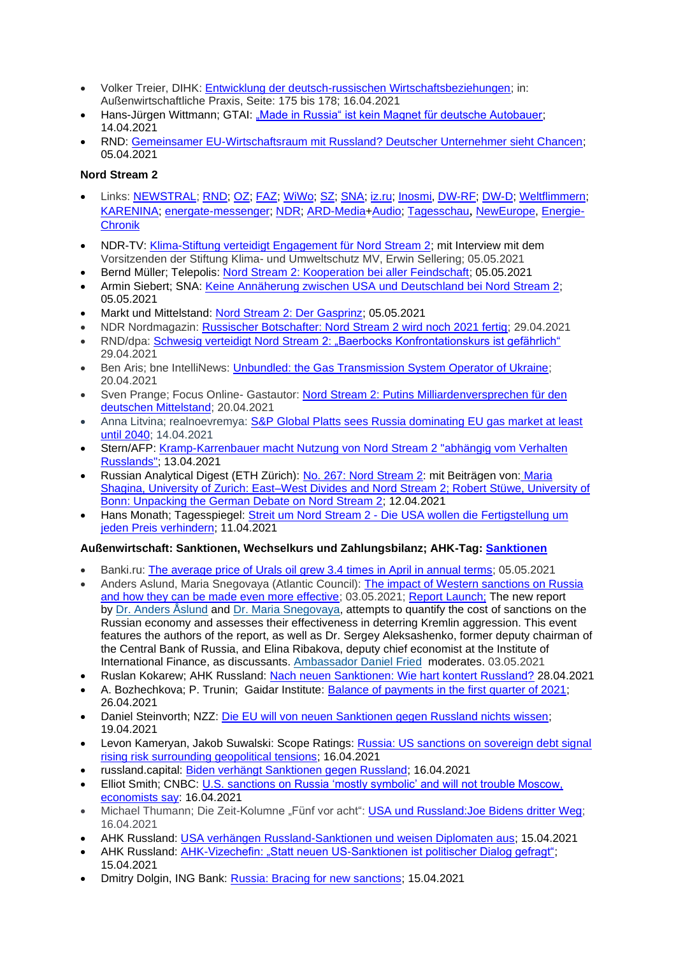- Volker Treier, DIHK: [Entwicklung der deutsch-russischen Wirtschaftsbeziehungen;](https://mcusercontent.com/8fdd7414d9cadd57fd1dca5f7/files/0b43bb8d-0eac-6fca-e58d-4d2249d07c63/Entwicklung_der_deutsch_russischen_Wirtschaftsbeziehungen.01.pdf) in: Außenwirtschaftliche Praxis, Seite: 175 bis 178; 16.04.2021
- Hans-Jürgen Wittmann; GTAI: ["Made in Russia" ist kein Magnet für deutsche Autobauer;](https://www.gtai.de/gtai-de/trade/specials/branchenbericht/russland/-made-in-russia-ist-kein-magnet-fuer-deutsche-autobauer-622872) 14.04.2021
- RND: [Gemeinsamer EU-Wirtschaftsraum mit Russland? Deutscher Unternehmer sieht Chancen;](https://www.rnd.de/wirtschaft/gemeinsamer-eu-wirtschaftsraum-mit-russland-deutscher-unternehmer-sieht-chancen-FM7VQGDYWQMRW7VKULOIYLH5S4.html) 05.04.2021

#### **Nord Stream 2**

- Links: [NEWSTRAL;](https://newstral.com/de/search/articles?utf8=%E2%9C%93&q=Nord+Stream) [RND;](https://www.rnd.de/themen/nord-stream-2/) [OZ;](https://www.ostsee-zeitung.de/nordstream-2) [FAZ;](https://www.faz.net/aktuell/wirtschaft/thema/nord-stream-2) [WiWo;](https://www.wiwo.de/suche/?sw=Nord%20Stream) [SZ;](https://www.sueddeutsche.de/thema/Nord_Stream_2) [SNA;](https://snanews.de/product_nord-stream-2/) [iz.ru;](https://iz.ru/tag/severnyi-potok-2) [Inosmi,](https://inosmi.ru/tags/product_Severnyjj_potok_2/) [DW-RF;](https://www.dw.com/ru/nord-stream-kompanija/t-17949730) [DW-D;](https://www.dw.com/search/de?languageCode=de&origin=gN&item=Pipeline&searchNavigationId=9077) [Weltflimmern;](https://www.weltflimmern.de/nord%20stream%202) [KARENINA;](https://www.karenina.de/category/news/wirtschaft/?seotag=Nord+Stream+2) [energate-messenger;](https://www.energate-messenger.de/themen/Nord-Stream-2?) [NDR;](https://www.ndr.de/nachrichten/info/Erdgas,erdgas213.html) [ARD-Media](https://www.ardmediathek.de/suche/Nord%20Stream/)[+Audio;](https://www.ardaudiothek.de/suche?q=Nord%20%20Stream) [Tagesschau](https://www.tagesschau.de/thema/nord_stream_2/), [NewEurope,](https://www.neweurope.eu/author/kostis-geropoulos/) [Energie-](https://www.udo-leuschner.de/energie-chronik/ypipelines.htm#nordstream)[Chronik](https://www.udo-leuschner.de/energie-chronik/ypipelines.htm#nordstream)
- NDR-TV: [Klima-Stiftung verteidigt Engagement für Nord Stream 2;](https://www.ndr.de/nachrichten/mecklenburg-vorpommern/Klima-Stiftung-verteidigt-Engagement-fuer-Nord-Stream-2,nordstream590.html) mit Interview mit dem Vorsitzenden der Stiftung Klima- und Umweltschutz MV, Erwin Sellering; 05.05.2021
- Bernd Müller; Telepolis: [Nord Stream 2: Kooperation bei aller Feindschaft;](https://www.heise.de/tp/features/Nord-Stream-2-Kooperation-bei-aller-Feindschaft-6037516.html) 05.05.2021
- Armin Siebert; SNA: [Keine Annäherung zwischen USA und Deutschland bei Nord Stream 2;](https://snanews.de/20210505/annaeherung-usa-deutschland-pipeline-1975680.html) 05.05.2021
- Markt und Mittelstand: [Nord Stream 2: Der](https://www.marktundmittelstand.de/technologie/der-gasprinz-1297751/) Gasprinz; 05.05.2021
- NDR Nordmagazin: [Russischer Botschafter: Nord Stream 2 wird noch 2021 fertig;](https://www.ndr.de/nachrichten/mecklenburg-vorpommern/Russischer-Botschafter-Nord-Stream-2-wird-noch-2021-fertig,nordstream588.html) 29.04.2021
- RND/dpa: Schwesig verteidigt Nord Stream [2: "Baerbocks Konfrontationskurs ist gefährlich"](https://www.rnd.de/politik/schwesig-verteidigt-nord-stream-2-kritik-von-baerbock-und-grunen-U6TT5C6CKVD4JG3Y7XPCRZI2IU.html) 29.04.2021
- Ben Aris; bne IntelliNews: [Unbundled: the Gas Transmission System Operator of Ukraine;](https://www.intellinews.com/unbundled-the-gas-transmission-system-operator-of-ukraine-208228/?source=russia&utm_source=Newsletter&utm_medium=Email&utm_campaign=Edpicks) 20.04.2021
- Sven Prange; Focus Online- Gastautor: [Nord Stream 2: Putins Milliardenversprechen für den](https://www.focus.de/finanzen/boerse/wegducken-und-weiterbauen-abhaengig-von-putin-das-nord-stream-2-milliardenversprechen-fuer-den-deutschen-mittelstand_id_13208073.html)  [deutschen Mittelstand;](https://www.focus.de/finanzen/boerse/wegducken-und-weiterbauen-abhaengig-von-putin-das-nord-stream-2-milliardenversprechen-fuer-den-deutschen-mittelstand_id_13208073.html) 20.04.2021
- Anna Litvina; realnoevremya: S&P Global Platts sees Russia dominating EU gas market at least [until 2040;](https://realnoevremya.com/articles/5420-sp-global-platts-sees-russia-dominating-eu-gas-market-at-least-until-2040) 14.04.2021
- Stern/AFP: [Kramp-Karrenbauer macht Nutzung von Nord Stream 2 "abhängig vom Verhalten](https://www.stern.de/news/kramp-karrenbauer-macht-nutzung-von-nord-stream-2--abhaengig-vom-verhalten-russlands--30475386.html?utm_campaign=alle&utm_medium=rss-feed&utm_source=standard)  [Russlands";](https://www.stern.de/news/kramp-karrenbauer-macht-nutzung-von-nord-stream-2--abhaengig-vom-verhalten-russlands--30475386.html?utm_campaign=alle&utm_medium=rss-feed&utm_source=standard) 13.04.2021
- Russian Analytical Digest (ETH Zürich): [No. 267: Nord Stream 2:](https://css.ethz.ch/publikationen/russian-analytical-digest/details.html?id=/n/o/r/d/nord_stream_ii) mit Beiträgen von: [Maria](https://css.ethz.ch/content/dam/ethz/special-interest/gess/cis/center-for-securities-studies/pdfs/RAD267.pdf)  [Shagina, University of Zurich: East–West Divides and Nord Stream 2; Robert Stüwe, University of](https://css.ethz.ch/content/dam/ethz/special-interest/gess/cis/center-for-securities-studies/pdfs/RAD267.pdf)  [Bonn: Unpacking the German Debate on Nord Stream 2;](https://css.ethz.ch/content/dam/ethz/special-interest/gess/cis/center-for-securities-studies/pdfs/RAD267.pdf) 12.04.2021
- Hans Monath; Tagesspiegel: Streit um Nord Stream 2 Die USA wollen die [Fertigstellung](https://www.tagesspiegel.de/wirtschaft/streit-um-nord-stream-2-die-usa-wollen-die-fertigstellung-um-jeden-preis-verhindern/27084866.html) um jeden Preis [verhindern;](https://www.tagesspiegel.de/wirtschaft/streit-um-nord-stream-2-die-usa-wollen-die-fertigstellung-um-jeden-preis-verhindern/27084866.html) 11.04.2021

#### **Außenwirtschaft: Sanktionen, Wechselkurs und Zahlungsbilanz; AHK-Tag: [Sanktionen](https://russland.ahk.de/recht/sanktionen#c272192)**

- Banki.ru: [The average price of Urals oil grew 3.4 times in April in annual terms;](https://www.banki.ru/news/lenta/?id=10945963) 05.05.2021
- Anders Aslund, Maria Snegovaya (Atlantic Council): [The impact of Western sanctions on Russia](https://www.atlanticcouncil.org/in-depth-research-reports/report/the-impact-of-western-sanctions-on-russia/)  [and how they can be made even more effective;](https://www.atlanticcouncil.org/in-depth-research-reports/report/the-impact-of-western-sanctions-on-russia/) 03.05.2021; [Report Launch;](https://www.atlanticcouncil.org/event/the-impact-of-western-sanctions-on-russia/) The new report by [Dr. Anders Åslund](https://www.atlanticcouncil.org/expert/anders-aslund/) and [Dr. Maria Snegovaya,](https://www.atlanticcouncil.org/expert/maria-snegovaya/) attempts to quantify the cost of sanctions on the Russian economy and assesses their effectiveness in deterring Kremlin aggression. This event features the authors of the report, as well as Dr. Sergey Aleksashenko, former deputy chairman of the Central Bank of Russia, and Elina Ribakova, deputy chief economist at the Institute of International Finance, as discussants. [Ambassador Daniel Fried](https://www.atlanticcouncil.org/expert/daniel-fried/) moderates. 03.05.2021
- Ruslan Kokarew; AHK Russland: [Nach neuen Sanktionen: Wie hart kontert Russland?](https://russland.ahk.de/infothek/news/detail/nach-neuen-sanktionen-wie-hart-kontert-russland) 28.04.2021
- A. Bozhechkova; P. Trunin; Gaidar Institute: [Balance of payments in the first quarter of 2021;](https://www.iep.ru/ru/monitoring/platezhnyy-balans-v-i-kvartale-2021-goda.html) 26.04.2021
- Daniel Steinvorth; NZZ: [Die EU will von neuen Sanktionen gegen Russland nichts wissen;](https://www.nzz.ch/international/die-eu-will-von-neuen-sanktionen-gegen-russland-nichts-wissen-ld.1612785) 19.04.2021
- Levon Kameryan, Jakob Suwalski: Scope Ratings: Russia: US sanctions on sovereign debt signal [rising risk surrounding geopolitical tensions;](https://scoperatings.com/#search/research/detail/167198EN) 16.04.2021
- russland.capital: [Biden verhängt Sanktionen gegen Russland;](https://www.russland.capital/biden-verhaengt-sanktionen-gegen-russland) 16.04.2021
- Elliot Smith: CNBC: U.S. sanctions on Russia 'mostly symbolic' and will not trouble Moscow. [economists say:](https://www.cnbc.com/2021/04/16/economists-us-sanctions-mostly-symbolic-and-wont-trouble-russia.html) 16.04.2021
- Michael Thumann; Die Zeit-Kolumne "Fünf vor acht": USA und Russland: Joe Bidens dritter Weg; 16.04.2021
- AHK Russland: [USA verhängen Russland-Sanktionen und weisen Diplomaten aus;](https://russland.ahk.de/infothek/news/detail/usa-verhaengen-russland-sanktionen-und-weisen-diplomaten-aus) 15.04.2021
- AHK Russland: [AHK-Vizechefin: "Statt neuen US-Sanktionen ist politischer Dialog gefragt";](https://russland.ahk.de/infothek/news/detail/ahk-russland-statt-neuen-us-sanktionen-ist-politischer-dialog-gefragt) 15.04.2021
- Dmitry Dolgin, ING Bank: [Russia: Bracing for new sanctions;](https://think.ing.com/snaps/russia-bracing-for-new-sanctions/) 15.04.2021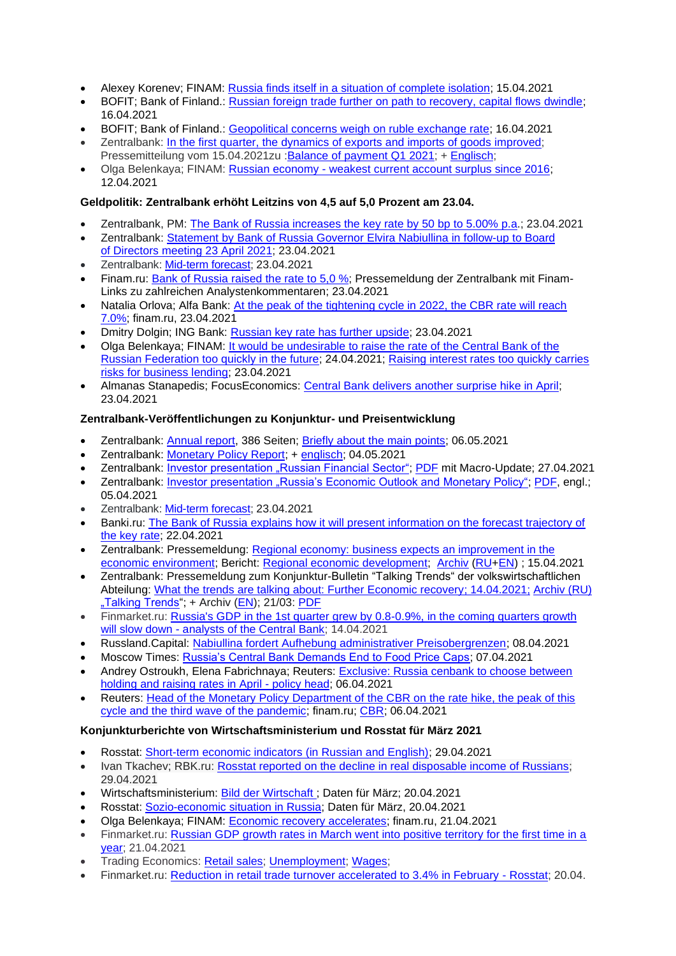- Alexey Korenev; FINAM: [Russia finds itself in a situation of complete isolation;](https://www.finam.ru/analysis/forecasts/rossiya-popadaet-v-situaciyu-polnoiy-izolyacii-20210415-19591/) 15.04.2021
- BOFIT; Bank of Finland.: [Russian foreign trade further on path to recovery, capital flows dwindle;](https://www.bofit.fi/en/monitoring/weekly/2021/vw202115_2/) 16.04.2021
- BOFIT; Bank of Finland.: [Geopolitical concerns weigh on ruble exchange rate;](https://www.bofit.fi/en/monitoring/weekly/2021/vw202115_3/) 16.04.2021
- Zentralbank: In the first quarter, the dynamics of exports and imports of goods [improved;](http://cbr.ru/press/event/?id=9772) Pressemitteilung vom 15.04.2021zu :Balance of [payment](http://cbr.ru/Collection/Collection/File/32216/Balance_of_Payments_2021-01_7.pdf) Q1 2021; + [Englisch;](http://www.cbr.ru/eng/analytics/dkp/bal/)
- Olga Belenkaya; FINAM: Russian economy [weakest current account surplus since 2016;](https://www.finam.ru/analysis/forecasts/rossiiyskaya-ekonomika-samoe-slaboe-znachenie-proficita-scheta-tekushix-operaciiy-s-2016-goda-20210412-10192/) 12.04.2021

# **Geldpolitik: Zentralbank erhöht Leitzins von 4,5 auf 5,0 Prozent am 23.04.**

- Zentralbank, PM: The Bank of [Russia increases the](https://www.cbr.ru/eng/press/pr/?file=23042021_133000key_eng.htm) key rate by 50 bp to 5.00% p.a.; 23.04.2021
- Zentralbank: Statement by Bank of [Russia Governor Elvira Nabiullina in](https://www.cbr.ru/eng/press/event/?id=9790) follow-up to Board of [Directors meeting 23](https://www.cbr.ru/eng/press/event/?id=9790) April 2021; 23.04.2021
- Zentralbank: [Mid-term forecast;](https://www.cbr.ru/Collection/Collection/File/32223/forecast_210423_e.pdf) 23.04.2021
- Finam.ru: [Bank of Russia raised the rate to 5,0 %;](https://www.finam.ru/analysis/newsitem/bank-rossii-povysil-stavku-do-5-20210423-133040/) Pressemeldung der Zentralbank mit Finam-Links zu zahlreichen Analystenkommentaren; 23.04.2021
- Natalia Orlova; Alfa Bank: [At the peak of the tightening cycle in 2022, the CBR rate will reach](https://www.finam.ru/analysis/marketnews/na-pike-cikla-uzhestocheniya-v-2022-godu-stavka-cb-rf-dostignet-7-0-20210423-19450/)  [7.0%;](https://www.finam.ru/analysis/marketnews/na-pike-cikla-uzhestocheniya-v-2022-godu-stavka-cb-rf-dostignet-7-0-20210423-19450/) finam.ru, 23.04.2021
- Dmitry Dolgin; ING Bank: [Russian key rate has further upside;](https://think.ing.com/snaps/russia-key-rate-review-april-2020/) 23.04.2021
- Olga Belenkaya; FINAM: [It would be undesirable to raise the rate of the Central Bank of the](https://www.finam.ru/analysis/forecasts/slishkom-bystroe-povyshenie-stavki-cb-rf-v-budushem-bylo-by-nezhelatelno-20210424-135136/)  [Russian Federation too quickly in the future;](https://www.finam.ru/analysis/forecasts/slishkom-bystroe-povyshenie-stavki-cb-rf-v-budushem-bylo-by-nezhelatelno-20210424-135136/) 24.04.2021; [Raising interest rates too quickly carries](https://www.finam.ru/analysis/marketnews/finrezultaty-nlmk-okazalis-na-urovne-ozhidaniiy-20210423-16150/)  [risks for business lending;](https://www.finam.ru/analysis/marketnews/finrezultaty-nlmk-okazalis-na-urovne-ozhidaniiy-20210423-16150/) 23.04.2021
- Almanas Stanapedis; FocusEconomics: [Central Bank delivers another surprise hike in April;](https://www.focus-economics.com/countries/russia/news/monetary-policy/central-bank-delivers-another-surprise-hike-in-april) 23.04.2021

#### **Zentralbank-Veröffentlichungen zu Konjunktur- und Preisentwicklung**

- Zentralbank: [Annual report,](http://www.cbr.ru/Collection/Collection/File/32268/ar_2020.pdf) 386 Seiten; [Briefly about the main points;](http://www.cbr.ru/about_br/publ/annrep2020short/) 06.05.2021
- Zentralbank: [Monetary Policy Report;](https://www.cbr.ru/about_br/publ/ddkp/#a_118755) + [englisch;](https://www.cbr.ru/eng/about_br/publ/ddkp/) 04.05.2021
- Zentralbank: [Investor presentation "Russian Financial Sector";](https://www.cbr.ru/eng/about_br/irp/) [PDF](https://www.cbr.ru/Collection/Collection/File/32153/cbr_ir_2021-3.pdf) mit Macro-Update; 27.04.2021
- Zentralbank: [Investor presentation "Russia's Economic Outlook and Monetary Policy";](https://www.cbr.ru/eng/about_br/irp/) [PDF,](https://www.cbr.ru/Collection/Collection/File/32174/2021_march_e.pdf) engl.; 05.04.2021
- Zentralbank: [Mid-term forecast;](https://www.cbr.ru/Collection/Collection/File/32223/forecast_210423_e.pdf) 23.04.2021
- Banki.ru: [The Bank of Russia explains how it will present information on the forecast trajectory of](https://www.banki.ru/news/lenta/?id=10945392)  [the key rate;](https://www.banki.ru/news/lenta/?id=10945392) 22.04.2021
- Zentralbank: Pressemeldung: [Regional economy: business expects an improvement in the](https://cbr.ru/press/event/?id=9768)  [economic environment;](https://cbr.ru/press/event/?id=9768) Bericht: [Regional economic development;](https://cbr.ru/Collection/Collection/File/32214/report_15042021.pdf) [Archiv](https://cbr.ru/analytics/dkp/#a_118418) [\(RU+](https://cbr.ru/analytics/dkp/#a_118418)[EN\)](https://www.cbr.ru/eng/analytics/dkp/#a_118420) ; 15.04.2021
- Zentralbank: Pressemeldung zum Konjunktur-Bulletin "Talking Trends" der volkswirtschaftlichen Abteilung: [What the trends are talking about: Further Economic recovery;](http://cbr.ru/press/event/?id=9762) 14.04.2021; [Archiv \(RU\)](https://cbr.ru/ec_research/)  ["Talking Trends"](https://cbr.ru/ec_research/); + Archiv [\(EN\)](https://www.cbr.ru/eng/ec_research/#a_16699); 21/03: [PDF](https://www.cbr.ru/Collection/Collection/File/32200/bulletin_21-03_e.pdf)
- Finmarket.ru: Russia's GDP in the 1st quarter grew by 0.8-0.9%, in the coming quarters growth will slow down - [analysts of the Central Bank;](http://www.finmarket.ru/news/5450027) 14.04.2021
- Russland.Capital: [Nabiullina fordert Aufhebung administrativer Preisobergrenzen;](https://www.russland.capital/nabiullina-fordert-aufhebung-administrativer-preisobergrenzen) 08.04.2021
- Moscow Times: [Russia's Central Bank Demands End to Food Price Caps;](https://www.themoscowtimes.com/2021/04/07/russias-central-bank-demands-end-to-food-price-caps-a73504) 07.04.2021
- Andrey Ostroukh, Elena Fabrichnaya; Reuters: [Exclusive: Russia cenbank to choose between](https://www.reuters.com/article/us-russia-cenbank-exclusive/exclusive-russia-cenbank-to-choose-between-holding-and-raising-rates-in-april-policy-head-idINKBN2BT1RR)  [holding and raising rates in April](https://www.reuters.com/article/us-russia-cenbank-exclusive/exclusive-russia-cenbank-to-choose-between-holding-and-raising-rates-in-april-policy-head-idINKBN2BT1RR) - policy head; 06.04.2021
- Reuters: [Head of the Monetary Policy Department of the CBR on the rate hike, the peak of this](https://www.finam.ru/analysis/forecasts/glava-departamenta-dkp-centrobanka-rf-o-povyshenii-stavki-pike-etogo-cikla-i-treteiy-volne-pandemii-20210406-185852/)  [cycle and the third wave of the pandemic;](https://www.finam.ru/analysis/forecasts/glava-departamenta-dkp-centrobanka-rf-o-povyshenii-stavki-pike-etogo-cikla-i-treteiy-volne-pandemii-20210406-185852/) finam.ru; [CBR;](https://cbr.ru/press/event/?id=9727) 06.04.2021

#### **Konjunkturberichte von Wirtschaftsministerium und Rosstat für März 2021**

- Rosstat: [Short-term economic indicators \(in Russian and English\);](https://rosstat.gov.ru/compendium/document/50802) 29.04.2021
- Ivan Tkachev; RBK.ru: [Rosstat reported on the decline in real disposable income of Russians;](https://www.rbc.ru/economics/29/04/2021/608abee49a79476629102b9b) 29.04.2021
- Wirtschaftsministerium: [Bild der Wirtschaft ;](https://economy.gov.ru/material/directions/makroec/ekonomicheskie_obzory/) Daten für März; 20.04.2021
- Rosstat: [Sozio-economic situation in Russia;](https://rosstat.gov.ru/compendium/document/50800) Daten für März, 20.04.2021
- Olga Belenkaya; FINAM: [Economic recovery accelerates;](https://www.finam.ru/analysis/forecasts/vosstanovlenie-ekonomiki-uskorilos-20210421-155246/) finam.ru, 21.04.2021
- Finmarket.ru: [Russian GDP growth rates in March went into positive territory for the first time in a](http://www.finmarket.ru/main/article/5454468)  [year;](http://www.finmarket.ru/main/article/5454468) 21.04.2021
- Trading Economics: [Retail sales;](https://tradingeconomics.com/russia/retail-sales-annual) [Unemployment;](https://tradingeconomics.com/russia/unemployment-rate) [Wages;](https://tradingeconomics.com/russia/wage-growth)
- Finmarket.ru: [Reduction in retail trade turnover accelerated to 3.4% in February -](http://www.finmarket.ru/main/news/5454253) Rosstat; 20.04.